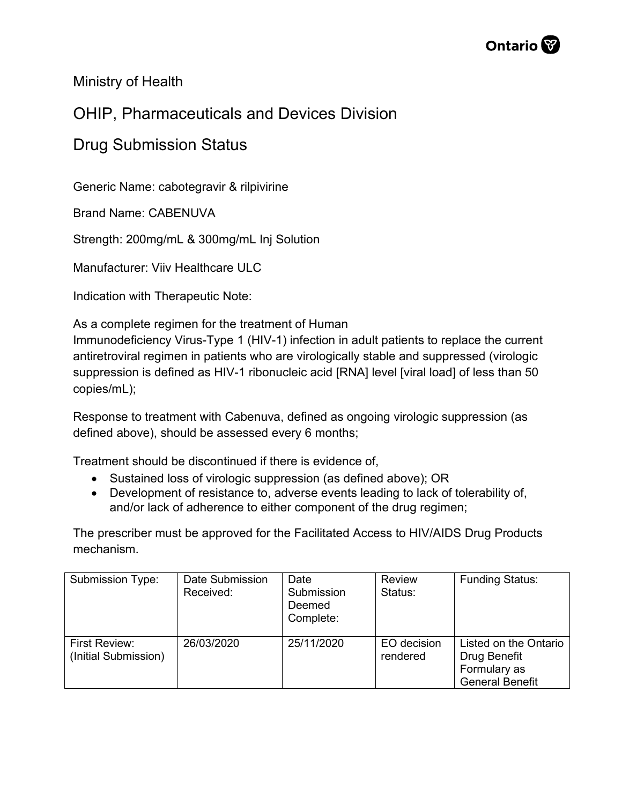

Ministry of Health

## OHIP, Pharmaceuticals and Devices Division

### Drug Submission Status

Generic Name: cabotegravir & rilpivirine

Brand Name: CABENUVA

Strength: 200mg/mL & 300mg/mL Inj Solution

Manufacturer: Viiv Healthcare ULC

Indication with Therapeutic Note:

As a complete regimen for the treatment of Human

Immunodeficiency Virus-Type 1 (HIV-1) infection in adult patients to replace the current antiretroviral regimen in patients who are virologically stable and suppressed (virologic suppression is defined as HIV-1 ribonucleic acid [RNA] level [viral load] of less than 50 copies/mL);

Response to treatment with Cabenuva, defined as ongoing virologic suppression (as defined above), should be assessed every 6 months;

Treatment should be discontinued if there is evidence of,

- Sustained loss of virologic suppression (as defined above); OR
- Development of resistance to, adverse events leading to lack of tolerability of, and/or lack of adherence to either component of the drug regimen;

The prescriber must be approved for the Facilitated Access to HIV/AIDS Drug Products mechanism.

| Submission Type:                      | Date Submission<br>Received: | Date<br>Submission<br>Deemed<br>Complete: | <b>Review</b><br>Status: | <b>Funding Status:</b>                                                          |
|---------------------------------------|------------------------------|-------------------------------------------|--------------------------|---------------------------------------------------------------------------------|
| First Review:<br>(Initial Submission) | 26/03/2020                   | 25/11/2020                                | EO decision<br>rendered  | Listed on the Ontario<br>Drug Benefit<br>Formulary as<br><b>General Benefit</b> |